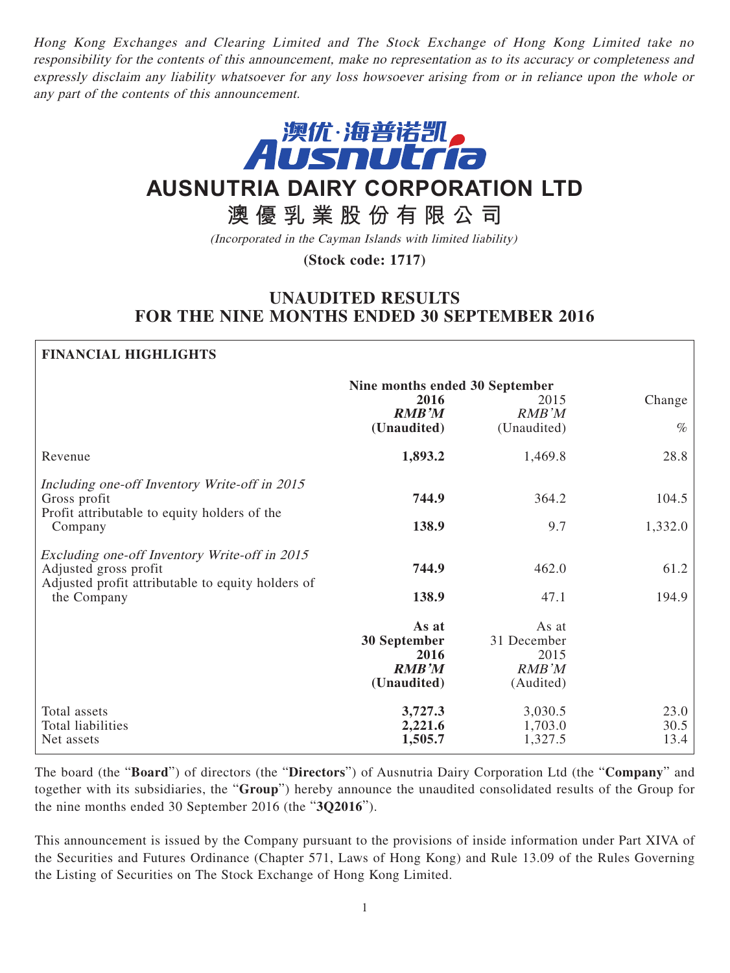Hong Kong Exchanges and Clearing Limited and The Stock Exchange of Hong Kong Limited take no responsibility for the contents of this announcement, make no representation as to its accuracy or completeness and expressly disclaim any liability whatsoever for any loss howsoever arising from or in reliance upon the whole or any part of the contents of this announcement.



# **AUSNUTRIA DAIRY CORPORATION LTD**

## **澳優乳業股份有限公司**

(Incorporated in the Cayman Islands with limited liability)

**(Stock code: 1717)**

## **UNAUDITED RESULTS FOR THE NINE MONTHS ENDED 30 SEPTEMBER 2016**

## **FINANCIAL HIGHLIGHTS**

|                                                                                                                          | Nine months ended 30 September<br>2016<br><b>RMB'M</b><br>(Unaudited) | 2015<br><b>RMB'M</b><br>(Unaudited)                | Change<br>$\%$       |
|--------------------------------------------------------------------------------------------------------------------------|-----------------------------------------------------------------------|----------------------------------------------------|----------------------|
| Revenue                                                                                                                  | 1,893.2                                                               | 1,469.8                                            | 28.8                 |
| Including one-off Inventory Write-off in 2015<br>Gross profit<br>Profit attributable to equity holders of the<br>Company | 744.9<br>138.9                                                        | 364.2<br>9.7                                       | 104.5<br>1,332.0     |
| Excluding one-off Inventory Write-off in 2015                                                                            |                                                                       |                                                    |                      |
| Adjusted gross profit<br>Adjusted profit attributable to equity holders of<br>the Company                                | 744.9                                                                 | 462.0                                              | 61.2                 |
|                                                                                                                          | 138.9                                                                 | 47.1                                               | 194.9                |
|                                                                                                                          | As at<br>30 September<br>2016<br><b>RMB'M</b><br>(Unaudited)          | As at<br>31 December<br>2015<br>RMB'M<br>(Audited) |                      |
| Total assets<br>Total liabilities<br>Net assets                                                                          | 3,727.3<br>2,221.6<br>1,505.7                                         | 3,030.5<br>1,703.0<br>1,327.5                      | 23.0<br>30.5<br>13.4 |

The board (the "**Board**") of directors (the "**Directors**") of Ausnutria Dairy Corporation Ltd (the "**Company**" and together with its subsidiaries, the "**Group**") hereby announce the unaudited consolidated results of the Group for the nine months ended 30 September 2016 (the "**3Q2016**").

This announcement is issued by the Company pursuant to the provisions of inside information under Part XIVA of the Securities and Futures Ordinance (Chapter 571, Laws of Hong Kong) and Rule 13.09 of the Rules Governing the Listing of Securities on The Stock Exchange of Hong Kong Limited.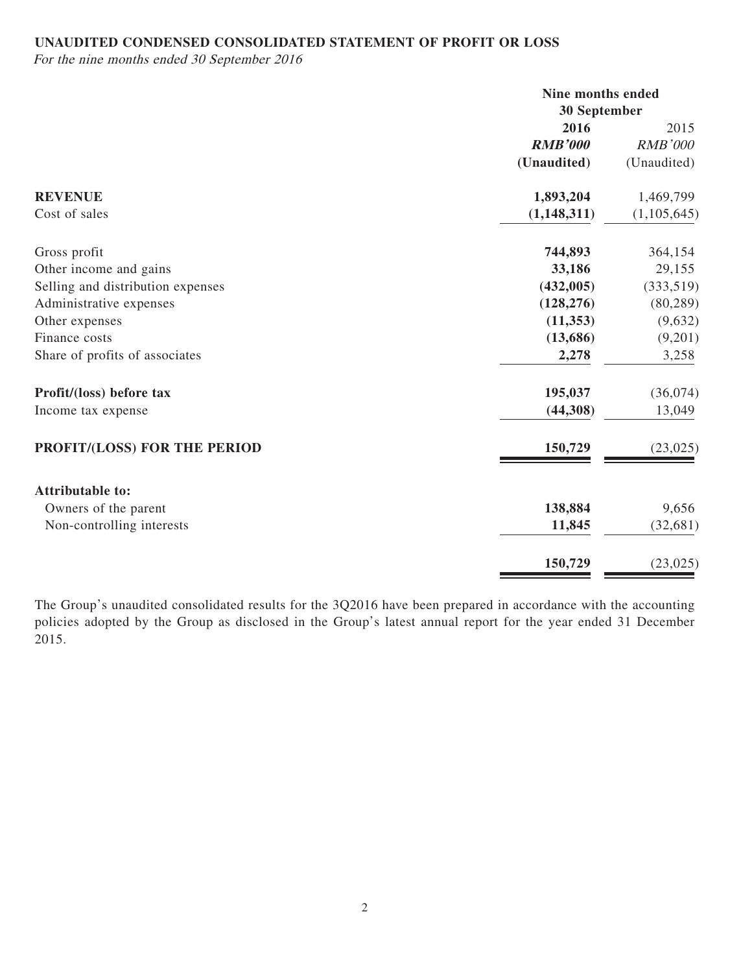## **UNAUDITED CONDENSED CONSOLIDATED STATEMENT OF PROFIT OR LOSS**

For the nine months ended 30 September 2016

|                                   | Nine months ended<br>30 September |                |
|-----------------------------------|-----------------------------------|----------------|
|                                   | 2016                              | 2015           |
|                                   | <b>RMB'000</b>                    | <b>RMB'000</b> |
|                                   | (Unaudited)                       | (Unaudited)    |
| <b>REVENUE</b>                    | 1,893,204                         | 1,469,799      |
| Cost of sales                     | (1, 148, 311)                     | (1,105,645)    |
| Gross profit                      | 744,893                           | 364,154        |
| Other income and gains            | 33,186                            | 29,155         |
| Selling and distribution expenses | (432,005)                         | (333,519)      |
| Administrative expenses           | (128, 276)                        | (80, 289)      |
| Other expenses                    | (11, 353)                         | (9,632)        |
| Finance costs                     | (13,686)                          | (9,201)        |
| Share of profits of associates    | 2,278                             | 3,258          |
| Profit/(loss) before tax          | 195,037                           | (36,074)       |
| Income tax expense                | (44,308)                          | 13,049         |
| PROFIT/(LOSS) FOR THE PERIOD      | 150,729                           | (23, 025)      |
| <b>Attributable to:</b>           |                                   |                |
| Owners of the parent              | 138,884                           | 9,656          |
| Non-controlling interests         | 11,845                            | (32,681)       |
|                                   | 150,729                           | (23, 025)      |

The Group's unaudited consolidated results for the 3Q2016 have been prepared in accordance with the accounting policies adopted by the Group as disclosed in the Group's latest annual report for the year ended 31 December 2015.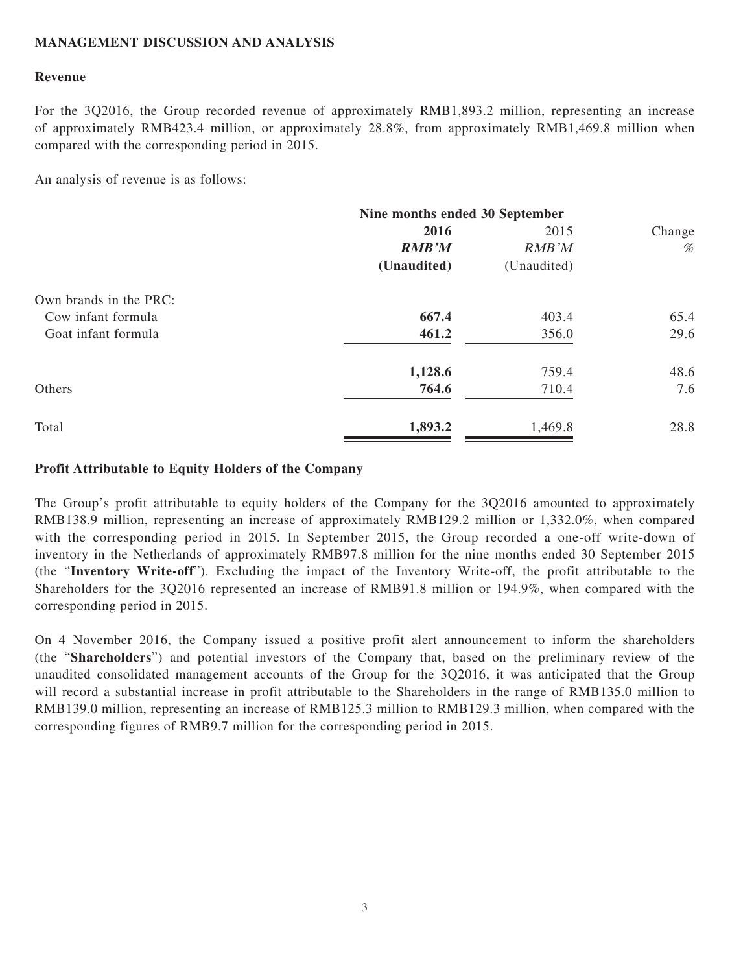## **MANAGEMENT DISCUSSION AND ANALYSIS**

#### **Revenue**

For the 3Q2016, the Group recorded revenue of approximately RMB1,893.2 million, representing an increase of approximately RMB423.4 million, or approximately 28.8%, from approximately RMB1,469.8 million when compared with the corresponding period in 2015.

An analysis of revenue is as follows:

|                        | Nine months ended 30 September |               |                                                                             |  |
|------------------------|--------------------------------|---------------|-----------------------------------------------------------------------------|--|
|                        | 2016                           | 2015          | Change                                                                      |  |
|                        | <b>RMB'M</b>                   | <b>RMB</b> 'M | $% \mathcal{P}_{\mathcal{A}}^{\mathcal{A}}\equiv \mathcal{A}^{\mathcal{A}}$ |  |
|                        | (Unaudited)                    | (Unaudited)   |                                                                             |  |
| Own brands in the PRC: |                                |               |                                                                             |  |
| Cow infant formula     | 667.4                          | 403.4         | 65.4                                                                        |  |
| Goat infant formula    | 461.2                          | 356.0         | 29.6                                                                        |  |
|                        | 1,128.6                        | 759.4         | 48.6                                                                        |  |
| Others                 | 764.6                          | 710.4         | 7.6                                                                         |  |
| Total                  | 1,893.2                        | 1,469.8       | 28.8                                                                        |  |

### **Profit Attributable to Equity Holders of the Company**

The Group's profit attributable to equity holders of the Company for the 3Q2016 amounted to approximately RMB138.9 million, representing an increase of approximately RMB129.2 million or 1,332.0%, when compared with the corresponding period in 2015. In September 2015, the Group recorded a one-off write-down of inventory in the Netherlands of approximately RMB97.8 million for the nine months ended 30 September 2015 (the "**Inventory Write-off**"). Excluding the impact of the Inventory Write-off, the profit attributable to the Shareholders for the 3Q2016 represented an increase of RMB91.8 million or 194.9%, when compared with the corresponding period in 2015.

On 4 November 2016, the Company issued a positive profit alert announcement to inform the shareholders (the "**Shareholders**") and potential investors of the Company that, based on the preliminary review of the unaudited consolidated management accounts of the Group for the 3Q2016, it was anticipated that the Group will record a substantial increase in profit attributable to the Shareholders in the range of RMB135.0 million to RMB139.0 million, representing an increase of RMB125.3 million to RMB129.3 million, when compared with the corresponding figures of RMB9.7 million for the corresponding period in 2015.